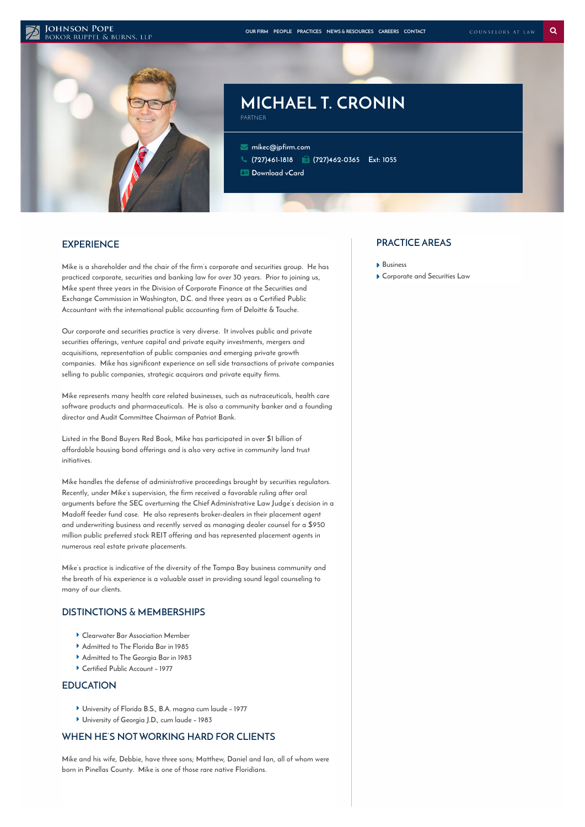#### **JOHNSON POPE**



# **MICHAEL T. CRONIN** PARTNER

 **[mikec@jpfirm.com](mailto:mikec@jpfirm.com) [\(727\)461-1818](tel:+1-727-461-1818) (727)462-0365 Ext: 1055 [Download](https://www.jpfirm.com/wp-content/themes/paperstreet/vcard/vcard.php?name=michael-t-cronin) vCard**

### **EXPERIENCE**

**Mike is a shareholder and the chair of the firm's corporate and securities group. He has practiced corporate, securities and banking law for over 30 years. Prior to joining us, Mike spent three years in the Division of Corporate Finance at the Securities and Exchange Commission in Washington, D.C. and three years as a Certified Public Accountant with the international public accounting firm of Deloitte & Touche.**

**Our corporate and securities practice is very diverse. It involves public and private securities offerings, venture capital and private equity investments, mergers and acquisitions, representation of public companies and emerging private growth companies. Mike has significant experience on sell side transactions of private companies selling to public companies, strategic acquirors and private equity firms.**

**Mike represents many health care related businesses, such as nutraceuticals, health care software products and pharmaceuticals. He is also a community banker and a founding director and Audit Committee Chairman of Patriot Bank.**

**Listed in the Bond Buyers Red Book, Mike has participated in over \$1 billion of affordable housing bond offerings and is also very active in community land trust initiatives.**

**Mike handles the defense of administrative proceedings brought by securities regulators. Recently, under Mike's supervision, the firm received a favorable ruling after oral arguments before the SEC overturning the Chief Administrative Law Judge's decision in a Madoff feeder fund case. He also represents broker-dealers in their placement agent and underwriting business and recently served as managing dealer counsel for a \$950 million public preferred stock REIT offering and has represented placement agents in numerous real estate private placements.**

**Mike's practice is indicative of the diversity of the Tampa Bay business community and the breath of his experience is a valuable asset in providing sound legal counseling to many of our clients.**

### **DISTINCTIONS & MEMBERSHIPS**

- **Clearwater Bar Association Member**
- **Admitted to The Florida Bar in 1985**
- **Admitted to The Georgia Bar in 1983**
- **Certified Public Account – 1977**

### **EDUCATION**

- **University of Florida B.S., B.A. magna cum laude – 1977**
- **University of Georgia J.D., cum laude – 1983**

# **WHEN HE'S NOTWORKING HARD FOR CLIENTS**

**Mike and his wife, Debbie, have three sons; Matthew, Daniel and Ian, all of whom were born in Pinellas County. Mike is one of those rare native Floridians.**

### **PRACTICE AREAS**

- **[Business](https://www.jpfirm.com/practices/business-tax-law/)**
- **[Corporate](https://www.jpfirm.com/practices/corporate-and-securities-law/) and Securities Law**